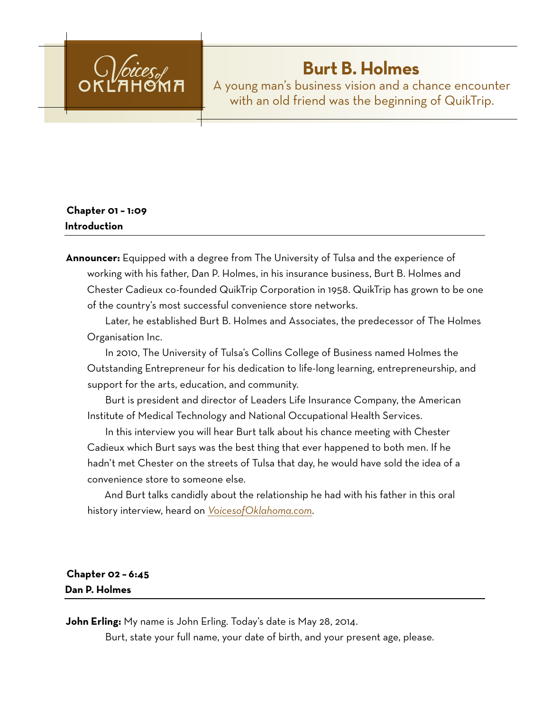

# **Burt B. Holmes**

A young man's business vision and a chance encounter with an old friend was the beginning of QuikTrip.

# **Chapter 01 – 1:09 Introduction**

**Announcer:** Equipped with a degree from The University of Tulsa and the experience of working with his father, Dan P. Holmes, in his insurance business, Burt B. Holmes and Chester Cadieux co-founded QuikTrip Corporation in 1958. QuikTrip has grown to be one of the country's most successful convenience store networks.

Later, he established Burt B. Holmes and Associates, the predecessor of The Holmes Organisation Inc.

In 2010, The University of Tulsa's Collins College of Business named Holmes the Outstanding Entrepreneur for his dedication to life-long learning, entrepreneurship, and support for the arts, education, and community.

Burt is president and director of Leaders Life Insurance Company, the American Institute of Medical Technology and National Occupational Health Services.

In this interview you will hear Burt talk about his chance meeting with Chester Cadieux which Burt says was the best thing that ever happened to both men. If he hadn't met Chester on the streets of Tulsa that day, he would have sold the idea of a convenience store to someone else.

And Burt talks candidly about the relationship he had with his father in this oral history interview, heard on *[VoicesofOklahoma.com](http://www.voicesofoklahoma.com)*.

# **Chapter 02 – 6:45 Dan P. Holmes**

**John Erling:** My name is John Erling. Today's date is May 28, 2014.

Burt, state your full name, your date of birth, and your present age, please.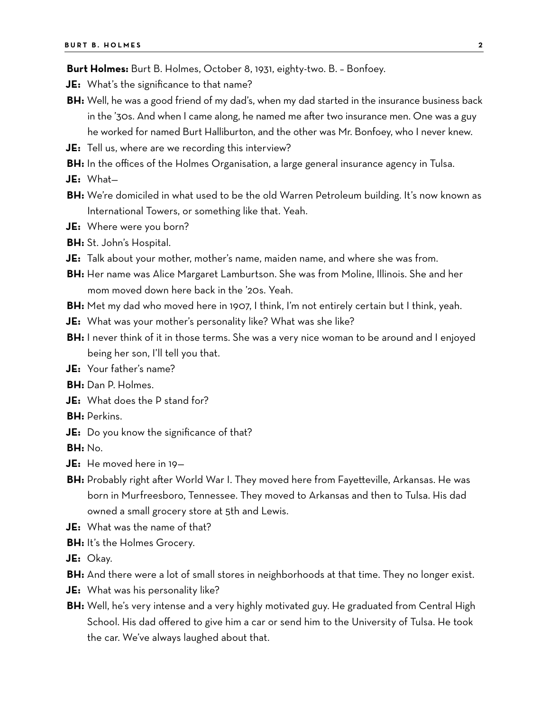**Burt Holmes:** Burt B. Holmes, October 8, 1931, eighty-two. B. – Bonfoey.

- **JE:** What's the significance to that name?
- **BH:** Well, he was a good friend of my dad's, when my dad started in the insurance business back in the '30s. And when I came along, he named me after two insurance men. One was a guy he worked for named Burt Halliburton, and the other was Mr. Bonfoey, who I never knew.
- **JE:** Tell us, where are we recording this interview?
- **BH:** In the offices of the Holmes Organisation, a large general insurance agency in Tulsa.
- **JE:** What—
- **BH:** We're domiciled in what used to be the old Warren Petroleum building. It's now known as International Towers, or something like that. Yeah.
- **JE:** Where were you born?
- **BH:** St. John's Hospital.
- **JE:** Talk about your mother, mother's name, maiden name, and where she was from.
- **BH:** Her name was Alice Margaret Lamburtson. She was from Moline, Illinois. She and her mom moved down here back in the '20s. Yeah.
- **BH:** Met my dad who moved here in 1907, I think, I'm not entirely certain but I think, yeah.
- **JE:** What was your mother's personality like? What was she like?
- **BH:** I never think of it in those terms. She was a very nice woman to be around and I enjoyed being her son, I'll tell you that.
- **JE:** Your father's name?
- **BH:** Dan P. Holmes.
- **JE:** What does the P stand for?
- **BH:** Perkins.
- **JE:** Do you know the significance of that?
- **BH:** No.
- **JE:** He moved here in 19—
- **BH:** Probably right after World War I. They moved here from Fayetteville, Arkansas. He was born in Murfreesboro, Tennessee. They moved to Arkansas and then to Tulsa. His dad owned a small grocery store at 5th and Lewis.
- **JE:** What was the name of that?
- **BH:** It's the Holmes Grocery.
- **JE:** Okay.
- **BH:** And there were a lot of small stores in neighborhoods at that time. They no longer exist.
- **JE:** What was his personality like?
- **BH:** Well, he's very intense and a very highly motivated guy. He graduated from Central High School. His dad offered to give him a car or send him to the University of Tulsa. He took the car. We've always laughed about that.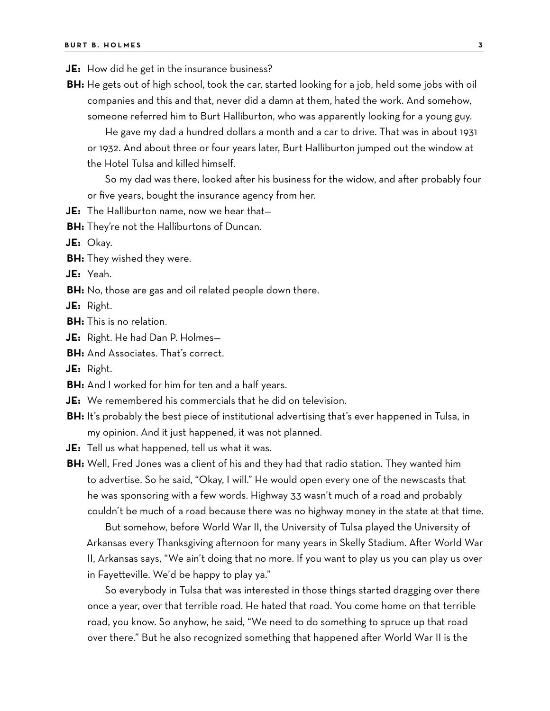- **JE:** How did he get in the insurance business?
- **BH:** He gets out of high school, took the car, started looking for a job, held some jobs with oil companies and this and that, never did a damn at them, hated the work. And somehow, someone referred him to Burt Halliburton, who was apparently looking for a young guy.

He gave my dad a hundred dollars a month and a car to drive. That was in about 1931 or 1932. And about three or four years later, Burt Halliburton jumped out the window at the Hotel Tulsa and killed himself.

So my dad was there, looked after his business for the widow, and after probably four or five years, bought the insurance agency from her.

- **JE:** The Halliburton name, now we hear that—
- **BH:** They're not the Halliburtons of Duncan.

**JE:** Okay.

**BH:** They wished they were.

**JE:** Yeah.

**BH:** No, those are gas and oil related people down there.

**JE:** Right.

- **BH:** This is no relation.
- **JE:** Right. He had Dan P. Holmes—
- **BH:** And Associates. That's correct.
- **JE:** Right.
- **BH:** And I worked for him for ten and a half years.
- **JE:** We remembered his commercials that he did on television.
- **BH:** It's probably the best piece of institutional advertising that's ever happened in Tulsa, in my opinion. And it just happened, it was not planned.

**JE:** Tell us what happened, tell us what it was.

**BH:** Well, Fred Jones was a client of his and they had that radio station. They wanted him to advertise. So he said, "Okay, I will." He would open every one of the newscasts that he was sponsoring with a few words. Highway 33 wasn't much of a road and probably couldn't be much of a road because there was no highway money in the state at that time.

But somehow, before World War II, the University of Tulsa played the University of Arkansas every Thanksgiving afternoon for many years in Skelly Stadium. After World War II, Arkansas says, "We ain't doing that no more. If you want to play us you can play us over in Fayetteville. We'd be happy to play ya."

So everybody in Tulsa that was interested in those things started dragging over there once a year, over that terrible road. He hated that road. You come home on that terrible road, you know. So anyhow, he said, "We need to do something to spruce up that road over there." But he also recognized something that happened after World War II is the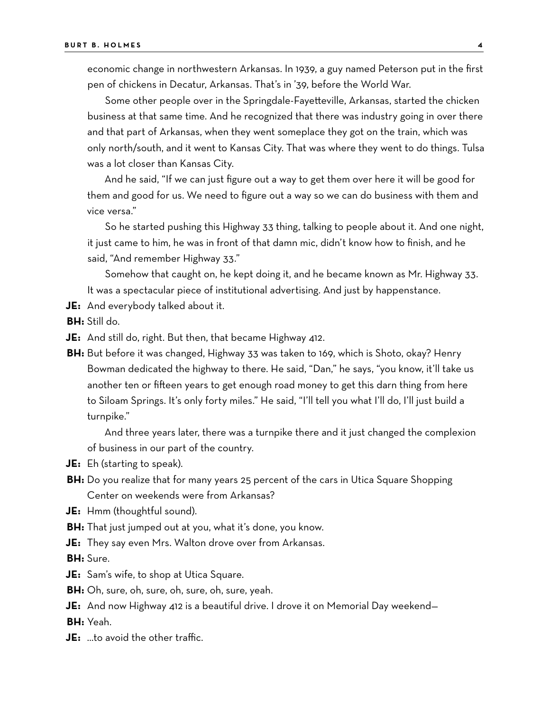economic change in northwestern Arkansas. In 1939, a guy named Peterson put in the first pen of chickens in Decatur, Arkansas. That's in '39, before the World War.

Some other people over in the Springdale-Fayetteville, Arkansas, started the chicken business at that same time. And he recognized that there was industry going in over there and that part of Arkansas, when they went someplace they got on the train, which was only north/south, and it went to Kansas City. That was where they went to do things. Tulsa was a lot closer than Kansas City.

And he said, "If we can just figure out a way to get them over here it will be good for them and good for us. We need to figure out a way so we can do business with them and vice versa."

So he started pushing this Highway 33 thing, talking to people about it. And one night, it just came to him, he was in front of that damn mic, didn't know how to finish, and he said, "And remember Highway 33."

Somehow that caught on, he kept doing it, and he became known as Mr. Highway 33. It was a spectacular piece of institutional advertising. And just by happenstance.

**JE:** And everybody talked about it.

**BH:** Still do.

- **JE:** And still do, right. But then, that became Highway 412.
- **BH:** But before it was changed, Highway 33 was taken to 169, which is Shoto, okay? Henry Bowman dedicated the highway to there. He said, "Dan," he says, "you know, it'll take us another ten or fifteen years to get enough road money to get this darn thing from here to Siloam Springs. It's only forty miles." He said, "I'll tell you what I'll do, I'll just build a turnpike."

And three years later, there was a turnpike there and it just changed the complexion of business in our part of the country.

**JE:** Eh (starting to speak).

- **BH:** Do you realize that for many years 25 percent of the cars in Utica Square Shopping Center on weekends were from Arkansas?
- **JE:** Hmm (thoughtful sound).
- **BH:** That just jumped out at you, what it's done, you know.
- **JE:** They say even Mrs. Walton drove over from Arkansas.

**BH:** Sure.

- **JE:** Sam's wife, to shop at Utica Square.
- **BH:** Oh, sure, oh, sure, oh, sure, oh, sure, yeah.
- **JE:** And now Highway 412 is a beautiful drive. I drove it on Memorial Day weekend— **BH:** Yeah.
- **JE:** …to avoid the other traffic.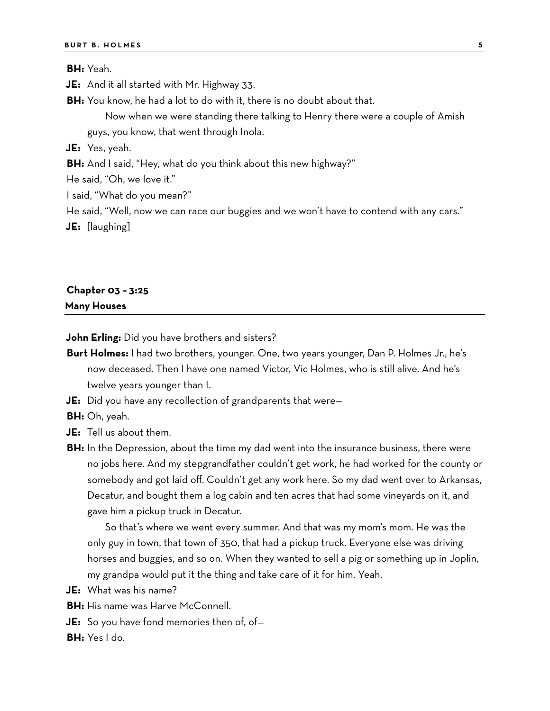**BH:** Yeah.

**JE:** And it all started with Mr. Highway 33.

**BH:** You know, he had a lot to do with it, there is no doubt about that.

Now when we were standing there talking to Henry there were a couple of Amish guys, you know, that went through Inola.

**JE:** Yes, yeah.

**BH:** And I said, "Hey, what do you think about this new highway?"

He said, "Oh, we love it."

I said, "What do you mean?"

He said, "Well, now we can race our buggies and we won't have to contend with any cars."

**JE:** [laughing]

## **Chapter 03 – 3:25 Many Houses**

**John Erling:** Did you have brothers and sisters?

- **Burt Holmes:** I had two brothers, younger. One, two years younger, Dan P. Holmes Jr., he's now deceased. Then I have one named Victor, Vic Holmes, who is still alive. And he's twelve years younger than I.
- **JE:** Did you have any recollection of grandparents that were—

**BH:** Oh, yeah.

- **JE:** Tell us about them.
- **BH:** In the Depression, about the time my dad went into the insurance business, there were no jobs here. And my stepgrandfather couldn't get work, he had worked for the county or somebody and got laid off. Couldn't get any work here. So my dad went over to Arkansas, Decatur, and bought them a log cabin and ten acres that had some vineyards on it, and gave him a pickup truck in Decatur.

So that's where we went every summer. And that was my mom's mom. He was the only guy in town, that town of 350, that had a pickup truck. Everyone else was driving horses and buggies, and so on. When they wanted to sell a pig or something up in Joplin, my grandpa would put it the thing and take care of it for him. Yeah.

- **JE:** What was his name?
- **BH:** His name was Harve McConnell.
- **JE:** So you have fond memories then of, of—

**BH:** Yes I do.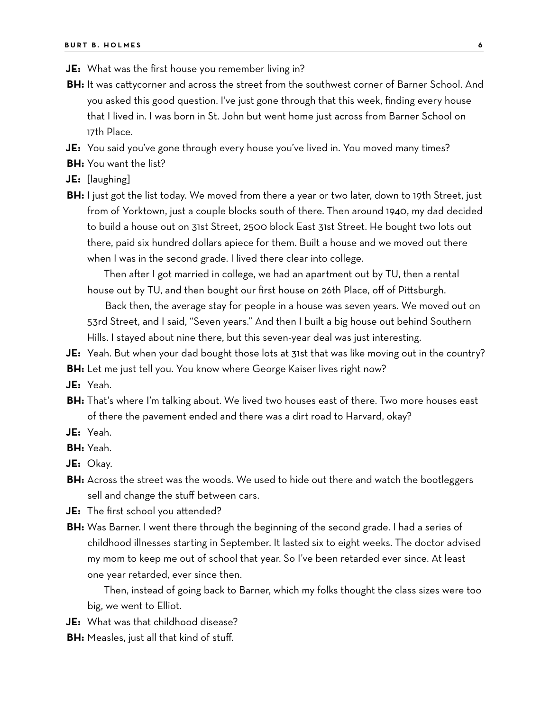- **JE:** What was the first house you remember living in?
- **BH:** It was cattycorner and across the street from the southwest corner of Barner School. And you asked this good question. I've just gone through that this week, finding every house that I lived in. I was born in St. John but went home just across from Barner School on 17th Place.
- **JE:** You said you've gone through every house you've lived in. You moved many times?
- **BH:** You want the list?
- **JE:** [laughing]
- **BH:** I just got the list today. We moved from there a year or two later, down to 19th Street, just from of Yorktown, just a couple blocks south of there. Then around 1940, my dad decided to build a house out on 31st Street, 2500 block East 31st Street. He bought two lots out there, paid six hundred dollars apiece for them. Built a house and we moved out there when I was in the second grade. I lived there clear into college.

Then after I got married in college, we had an apartment out by TU, then a rental house out by TU, and then bought our first house on 26th Place, off of Pittsburgh.

Back then, the average stay for people in a house was seven years. We moved out on 53rd Street, and I said, "Seven years." And then I built a big house out behind Southern Hills. I stayed about nine there, but this seven-year deal was just interesting.

- **JE:** Yeah. But when your dad bought those lots at 31st that was like moving out in the country?
- **BH:** Let me just tell you. You know where George Kaiser lives right now?
- **JE:** Yeah.
- **BH:** That's where I'm talking about. We lived two houses east of there. Two more houses east of there the pavement ended and there was a dirt road to Harvard, okay?
- **JE:** Yeah.
- **BH:** Yeah.
- **JE:** Okay.
- **BH:** Across the street was the woods. We used to hide out there and watch the bootleggers sell and change the stuff between cars.
- **JE:** The first school you attended?
- **BH:** Was Barner. I went there through the beginning of the second grade. I had a series of childhood illnesses starting in September. It lasted six to eight weeks. The doctor advised my mom to keep me out of school that year. So I've been retarded ever since. At least one year retarded, ever since then.

Then, instead of going back to Barner, which my folks thought the class sizes were too big, we went to Elliot.

- **JE:** What was that childhood disease?
- **BH:** Measles, just all that kind of stuff.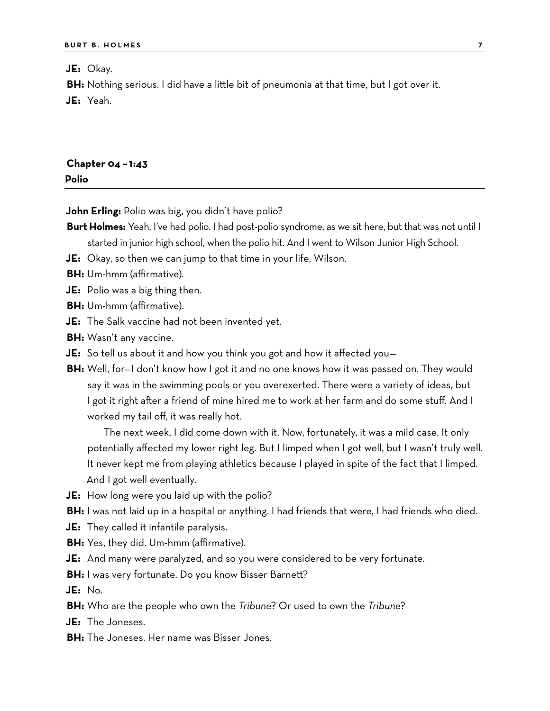**JE:** Okay.

**BH:** Nothing serious. I did have a little bit of pneumonia at that time, but I got over it.

**JE:** Yeah.

| Chapter 04 - 1:43 |  |  |
|-------------------|--|--|
| Polio             |  |  |

**John Erling:** Polio was big, you didn't have polio?

- **Burt Holmes:** Yeah, I've had polio. I had post-polio syndrome, as we sit here, but that was not until I started in junior high school, when the polio hit. And I went to Wilson Junior High School.
- **JE:** Okay, so then we can jump to that time in your life, Wilson.
- **BH:** Um-hmm (affirmative).
- **JE:** Polio was a big thing then.
- **BH:** Um-hmm (affirmative).
- **JE:** The Salk vaccine had not been invented yet.
- **BH:** Wasn't any vaccine.
- **JE:** So tell us about it and how you think you got and how it affected you—
- **BH:** Well, for—I don't know how I got it and no one knows how it was passed on. They would say it was in the swimming pools or you overexerted. There were a variety of ideas, but I got it right after a friend of mine hired me to work at her farm and do some stuff. And I worked my tail off, it was really hot.

The next week, I did come down with it. Now, fortunately, it was a mild case. It only potentially affected my lower right leg. But I limped when I got well, but I wasn't truly well. It never kept me from playing athletics because I played in spite of the fact that I limped. And I got well eventually.

**JE:** How long were you laid up with the polio?

**BH:** I was not laid up in a hospital or anything. I had friends that were, I had friends who died.

- **JE:** They called it infantile paralysis.
- **BH:** Yes, they did. Um-hmm (affirmative).
- **JE:** And many were paralyzed, and so you were considered to be very fortunate.
- **BH:** I was very fortunate. Do you know Bisser Barnett?

**JE:** No.

- **BH:** Who are the people who own the *Tribune*? Or used to own the *Tribune*?
- **JE:** The Joneses.
- **BH:** The Joneses. Her name was Bisser Jones.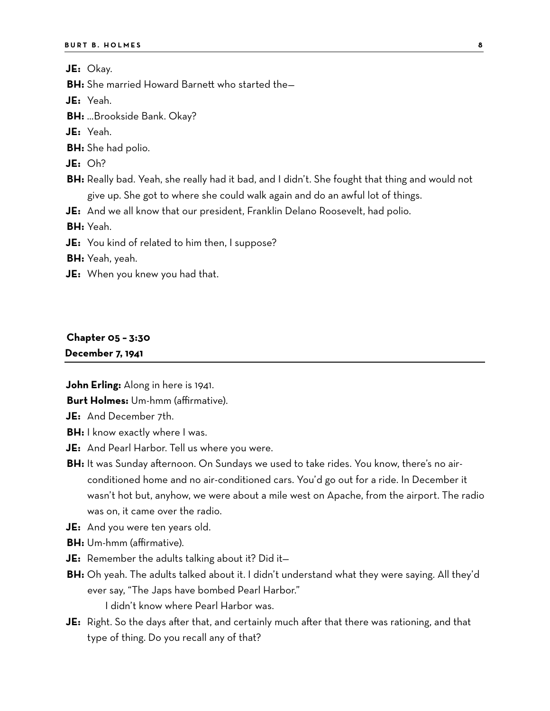**JE:** Okay.

**BH:** She married Howard Barnett who started the—

**JE:** Yeah.

**BH:** …Brookside Bank. Okay?

**JE:** Yeah.

**BH:** She had polio.

**JE:** Oh?

**BH:** Really bad. Yeah, she really had it bad, and I didn't. She fought that thing and would not give up. She got to where she could walk again and do an awful lot of things.

**JE:** And we all know that our president, Franklin Delano Roosevelt, had polio.

**BH:** Yeah.

**JE:** You kind of related to him then, I suppose?

**BH:** Yeah, yeah.

**JE:** When you knew you had that.

## **Chapter 05 – 3:30**

**December 7, 1941**

**John Erling:** Along in here is 1941.

**Burt Holmes:** Um-hmm (affirmative).

**JE:** And December 7th.

- **BH:** I know exactly where I was.
- **JE:** And Pearl Harbor. Tell us where you were.
- **BH:** It was Sunday afternoon. On Sundays we used to take rides. You know, there's no airconditioned home and no air-conditioned cars. You'd go out for a ride. In December it wasn't hot but, anyhow, we were about a mile west on Apache, from the airport. The radio was on, it came over the radio.
- **JE:** And you were ten years old.
- **BH:** Um-hmm (affirmative).
- **JE:** Remember the adults talking about it? Did it—
- **BH:** Oh yeah. The adults talked about it. I didn't understand what they were saying. All they'd ever say, "The Japs have bombed Pearl Harbor."

I didn't know where Pearl Harbor was.

**JE:** Right. So the days after that, and certainly much after that there was rationing, and that type of thing. Do you recall any of that?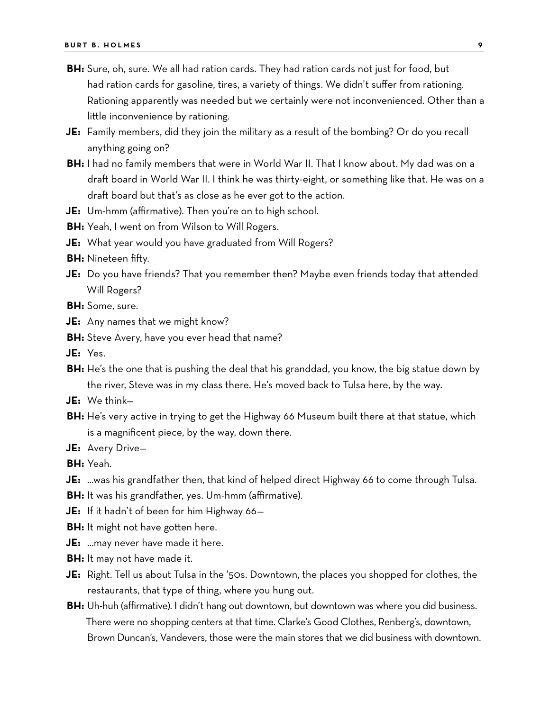- **BH:** Sure, oh, sure. We all had ration cards. They had ration cards not just for food, but had ration cards for gasoline, tires, a variety of things. We didn't suffer from rationing. Rationing apparently was needed but we certainly were not inconvenienced. Other than a little inconvenience by rationing.
- **JE:** Family members, did they join the military as a result of the bombing? Or do you recall anything going on?
- **BH:** I had no family members that were in World War II. That I know about. My dad was on a draft board in World War II. I think he was thirty-eight, or something like that. He was on a draft board but that's as close as he ever got to the action.
- **JE:** Um-hmm (affirmative). Then you're on to high school.
- **BH:** Yeah, I went on from Wilson to Will Rogers.
- **JE:** What year would you have graduated from Will Rogers?
- **BH:** Nineteen fifty.
- **JE:** Do you have friends? That you remember then? Maybe even friends today that attended Will Rogers?
- **BH:** Some, sure.
- **JE:** Any names that we might know?
- **BH:** Steve Avery, have you ever head that name?
- **JE:** Yes.
- **BH:** He's the one that is pushing the deal that his granddad, you know, the big statue down by the river, Steve was in my class there. He's moved back to Tulsa here, by the way.
- **JE:** We think—
- **BH:** He's very active in trying to get the Highway 66 Museum built there at that statue, which is a magnificent piece, by the way, down there.
- **JE:** Avery Drive—

**BH:** Yeah.

- **JE:** …was his grandfather then, that kind of helped direct Highway 66 to come through Tulsa.
- **BH:** It was his grandfather, yes. Um-hmm (affirmative).
- **JE:** If it hadn't of been for him Highway 66—
- **BH:** It might not have gotten here.
- **JE:** …may never have made it here.
- **BH:** It may not have made it.
- **JE:** Right. Tell us about Tulsa in the '50s. Downtown, the places you shopped for clothes, the restaurants, that type of thing, where you hung out.
- **BH:** Uh-huh (affirmative). I didn't hang out downtown, but downtown was where you did business. There were no shopping centers at that time. Clarke's Good Clothes, Renberg's, downtown, Brown Duncan's, Vandevers, those were the main stores that we did business with downtown.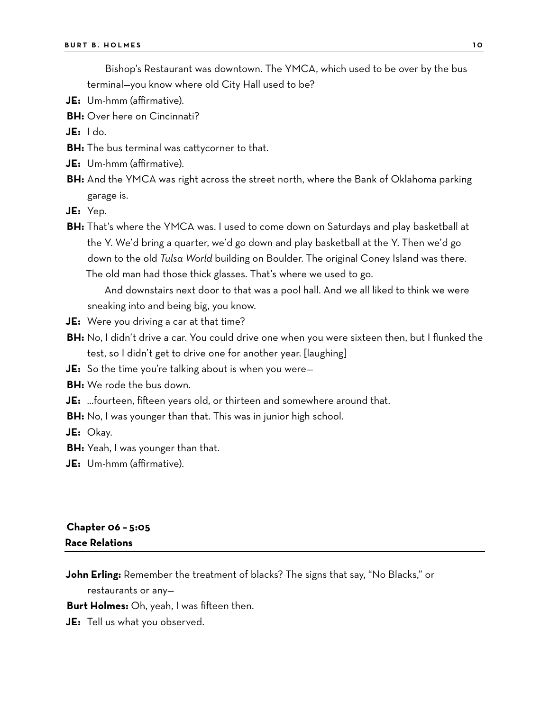Bishop's Restaurant was downtown. The YMCA, which used to be over by the bus terminal—you know where old City Hall used to be?

- **JE:** Um-hmm (affirmative).
- **BH:** Over here on Cincinnati?

**JE:** I do.

- **BH:** The bus terminal was cattycorner to that.
- **JE:** Um-hmm (affirmative).
- **BH:** And the YMCA was right across the street north, where the Bank of Oklahoma parking garage is.

**JE:** Yep.

**BH:** That's where the YMCA was. I used to come down on Saturdays and play basketball at the Y. We'd bring a quarter, we'd go down and play basketball at the Y. Then we'd go down to the old *Tulsa World* building on Boulder. The original Coney Island was there. The old man had those thick glasses. That's where we used to go.

And downstairs next door to that was a pool hall. And we all liked to think we were sneaking into and being big, you know.

- **JE:** Were you driving a car at that time?
- **BH:** No, I didn't drive a car. You could drive one when you were sixteen then, but I flunked the test, so I didn't get to drive one for another year. [laughing]
- **JE:** So the time you're talking about is when you were—
- **BH:** We rode the bus down.
- **JE:** …fourteen, fifteen years old, or thirteen and somewhere around that.
- **BH:** No, I was younger than that. This was in junior high school.

**JE:** Okay.

- **BH:** Yeah, I was younger than that.
- **JE:** Um-hmm (affirmative).

#### **Chapter 06 – 5:05 Race Relations**

**John Erling:** Remember the treatment of blacks? The signs that say, "No Blacks," or

restaurants or any—

**Burt Holmes:** Oh, yeah, I was fifteen then.

**JE:** Tell us what you observed.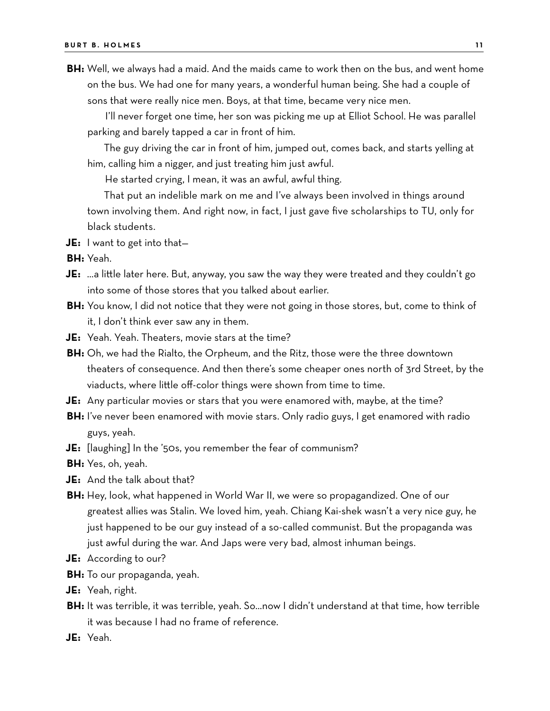**BH:** Well, we always had a maid. And the maids came to work then on the bus, and went home on the bus. We had one for many years, a wonderful human being. She had a couple of sons that were really nice men. Boys, at that time, became very nice men.

I'll never forget one time, her son was picking me up at Elliot School. He was parallel parking and barely tapped a car in front of him.

The guy driving the car in front of him, jumped out, comes back, and starts yelling at him, calling him a nigger, and just treating him just awful.

He started crying, I mean, it was an awful, awful thing.

That put an indelible mark on me and I've always been involved in things around town involving them. And right now, in fact, I just gave five scholarships to TU, only for black students.

**JE:** I want to get into that—

**BH:** Yeah.

- **JE:** …a little later here. But, anyway, you saw the way they were treated and they couldn't go into some of those stores that you talked about earlier.
- **BH:** You know, I did not notice that they were not going in those stores, but, come to think of it, I don't think ever saw any in them.
- **JE:** Yeah. Yeah. Theaters, movie stars at the time?
- **BH:** Oh, we had the Rialto, the Orpheum, and the Ritz, those were the three downtown theaters of consequence. And then there's some cheaper ones north of 3rd Street, by the viaducts, where little off-color things were shown from time to time.
- **JE:** Any particular movies or stars that you were enamored with, maybe, at the time?
- **BH:** I've never been enamored with movie stars. Only radio guys, I get enamored with radio guys, yeah.
- **JE:** [laughing] In the '50s, you remember the fear of communism?
- **BH:** Yes, oh, yeah.
- **JE:** And the talk about that?
- **BH:** Hey, look, what happened in World War II, we were so propagandized. One of our greatest allies was Stalin. We loved him, yeah. Chiang Kai-shek wasn't a very nice guy, he just happened to be our guy instead of a so-called communist. But the propaganda was just awful during the war. And Japs were very bad, almost inhuman beings.
- **JE:** According to our?
- **BH:** To our propaganda, yeah.
- **JE:** Yeah, right.
- **BH:** It was terrible, it was terrible, yeah. So…now I didn't understand at that time, how terrible it was because I had no frame of reference.
- **JE:** Yeah.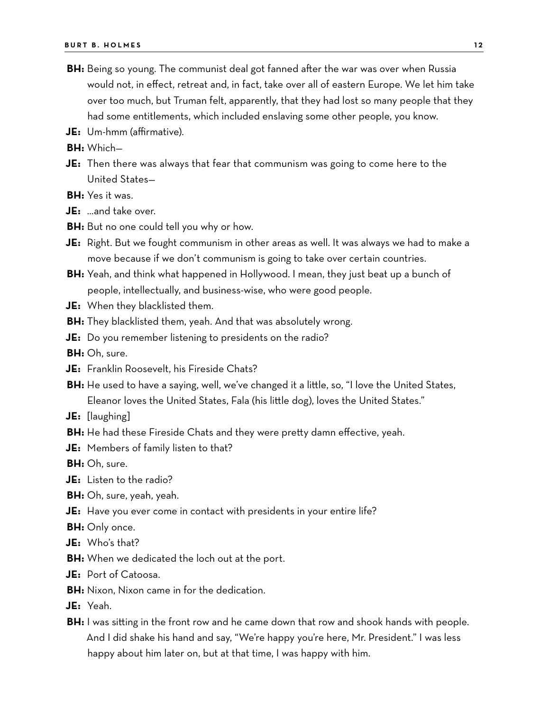- **BH:** Being so young. The communist deal got fanned after the war was over when Russia would not, in effect, retreat and, in fact, take over all of eastern Europe. We let him take over too much, but Truman felt, apparently, that they had lost so many people that they had some entitlements, which included enslaving some other people, you know.
- **JE:** Um-hmm (affirmative).

**BH:** Which—

**JE:** Then there was always that fear that communism was going to come here to the United States—

**BH:** Yes it was.

**JE:** …and take over.

- **BH:** But no one could tell you why or how.
- **JE:** Right. But we fought communism in other areas as well. It was always we had to make a move because if we don't communism is going to take over certain countries.
- **BH:** Yeah, and think what happened in Hollywood. I mean, they just beat up a bunch of people, intellectually, and business-wise, who were good people.
- **JE:** When they blacklisted them.
- **BH:** They blacklisted them, yeah. And that was absolutely wrong.
- **JE:** Do you remember listening to presidents on the radio?
- **BH:** Oh, sure.
- **JE:** Franklin Roosevelt, his Fireside Chats?
- **BH:** He used to have a saying, well, we've changed it a little, so, "I love the United States, Eleanor loves the United States, Fala (his little dog), loves the United States."
- **JE:** [laughing]
- **BH:** He had these Fireside Chats and they were pretty damn effective, yeah.
- **JE:** Members of family listen to that?

**BH:** Oh, sure.

- **JE:** Listen to the radio?
- **BH:** Oh, sure, yeah, yeah.
- **JE:** Have you ever come in contact with presidents in your entire life?
- **BH:** Only once.
- **JE:** Who's that?
- **BH:** When we dedicated the loch out at the port.
- **JE:** Port of Catoosa.
- **BH:** Nixon, Nixon came in for the dedication.
- **JE:** Yeah.
- **BH:** I was sitting in the front row and he came down that row and shook hands with people. And I did shake his hand and say, "We're happy you're here, Mr. President." I was less happy about him later on, but at that time, I was happy with him.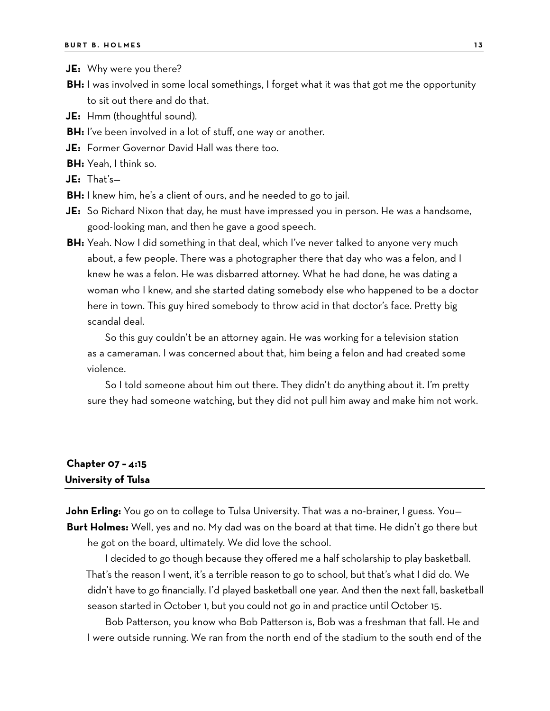- **JE:** Why were you there?
- **BH:** I was involved in some local somethings, I forget what it was that got me the opportunity to sit out there and do that.
- **JE:** Hmm (thoughtful sound).
- **BH:** I've been involved in a lot of stuff, one way or another.
- **JE:** Former Governor David Hall was there too.
- **BH:** Yeah, I think so.
- **JE:** That's—
- **BH:** I knew him, he's a client of ours, and he needed to go to jail.
- **JE:** So Richard Nixon that day, he must have impressed you in person. He was a handsome, good-looking man, and then he gave a good speech.
- **BH:** Yeah. Now I did something in that deal, which I've never talked to anyone very much about, a few people. There was a photographer there that day who was a felon, and I knew he was a felon. He was disbarred attorney. What he had done, he was dating a woman who I knew, and she started dating somebody else who happened to be a doctor here in town. This guy hired somebody to throw acid in that doctor's face. Pretty big scandal deal.

So this guy couldn't be an attorney again. He was working for a television station as a cameraman. I was concerned about that, him being a felon and had created some violence.

So I told someone about him out there. They didn't do anything about it. I'm pretty sure they had someone watching, but they did not pull him away and make him not work.

## **Chapter 07 – 4:15 University of Tulsa**

**John Erling:** You go on to college to Tulsa University. That was a no-brainer, I guess. You— **Burt Holmes:** Well, yes and no. My dad was on the board at that time. He didn't go there but he got on the board, ultimately. We did love the school.

I decided to go though because they offered me a half scholarship to play basketball. That's the reason I went, it's a terrible reason to go to school, but that's what I did do. We didn't have to go financially. I'd played basketball one year. And then the next fall, basketball season started in October 1, but you could not go in and practice until October 15.

Bob Patterson, you know who Bob Patterson is, Bob was a freshman that fall. He and I were outside running. We ran from the north end of the stadium to the south end of the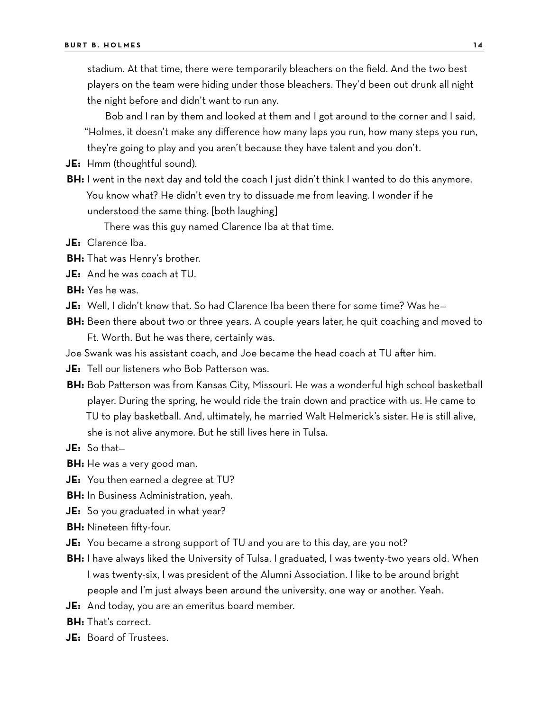stadium. At that time, there were temporarily bleachers on the field. And the two best players on the team were hiding under those bleachers. They'd been out drunk all night the night before and didn't want to run any.

Bob and I ran by them and looked at them and I got around to the corner and I said, "Holmes, it doesn't make any difference how many laps you run, how many steps you run, they're going to play and you aren't because they have talent and you don't.

- **JE:** Hmm (thoughtful sound).
- **BH:** I went in the next day and told the coach I just didn't think I wanted to do this anymore. You know what? He didn't even try to dissuade me from leaving. I wonder if he understood the same thing. [both laughing]

There was this guy named Clarence Iba at that time.

- **JE:** Clarence Iba.
- **BH:** That was Henry's brother.
- **JE:** And he was coach at TU.
- **BH:** Yes he was.
- **JE:** Well, I didn't know that. So had Clarence Iba been there for some time? Was he—
- **BH:** Been there about two or three years. A couple years later, he quit coaching and moved to Ft. Worth. But he was there, certainly was.
- Joe Swank was his assistant coach, and Joe became the head coach at TU after him.
- **JE:** Tell our listeners who Bob Patterson was.
- **BH:** Bob Patterson was from Kansas City, Missouri. He was a wonderful high school basketball player. During the spring, he would ride the train down and practice with us. He came to TU to play basketball. And, ultimately, he married Walt Helmerick's sister. He is still alive, she is not alive anymore. But he still lives here in Tulsa.
- **JE:** So that—
- **BH:** He was a very good man.
- **JE:** You then earned a degree at TU?
- **BH:** In Business Administration, yeah.
- **JE:** So you graduated in what year?
- **BH:** Nineteen fifty-four.
- **JE:** You became a strong support of TU and you are to this day, are you not?
- **BH:** I have always liked the University of Tulsa. I graduated, I was twenty-two years old. When I was twenty-six, I was president of the Alumni Association. I like to be around bright people and I'm just always been around the university, one way or another. Yeah.
- **JE:** And today, you are an emeritus board member.
- **BH:** That's correct.
- **JE:** Board of Trustees.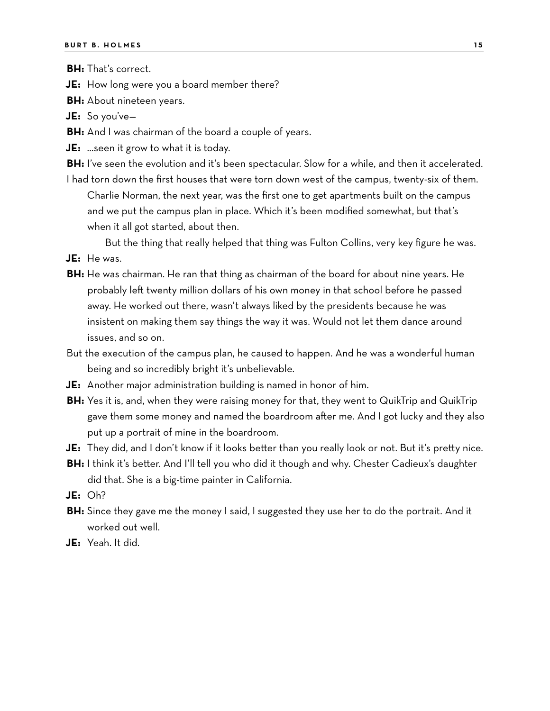**BH:** That's correct.

**JE:** How long were you a board member there?

**BH:** About nineteen years.

**JE:** So you've—

- **BH:** And I was chairman of the board a couple of years.
- **JE:** …seen it grow to what it is today.
- **BH:** I've seen the evolution and it's been spectacular. Slow for a while, and then it accelerated.
- I had torn down the first houses that were torn down west of the campus, twenty-six of them. Charlie Norman, the next year, was the first one to get apartments built on the campus and we put the campus plan in place. Which it's been modified somewhat, but that's when it all got started, about then.

But the thing that really helped that thing was Fulton Collins, very key figure he was.

- **JE:** He was.
- **BH:** He was chairman. He ran that thing as chairman of the board for about nine years. He probably left twenty million dollars of his own money in that school before he passed away. He worked out there, wasn't always liked by the presidents because he was insistent on making them say things the way it was. Would not let them dance around issues, and so on.
- But the execution of the campus plan, he caused to happen. And he was a wonderful human being and so incredibly bright it's unbelievable.
- **JE:** Another major administration building is named in honor of him.
- **BH:** Yes it is, and, when they were raising money for that, they went to QuikTrip and QuikTrip gave them some money and named the boardroom after me. And I got lucky and they also put up a portrait of mine in the boardroom.
- **JE:** They did, and I don't know if it looks better than you really look or not. But it's pretty nice.
- **BH:** I think it's better. And I'll tell you who did it though and why. Chester Cadieux's daughter did that. She is a big-time painter in California.
- **JE:** Oh?
- **BH:** Since they gave me the money I said, I suggested they use her to do the portrait. And it worked out well.
- **JE:** Yeah. It did.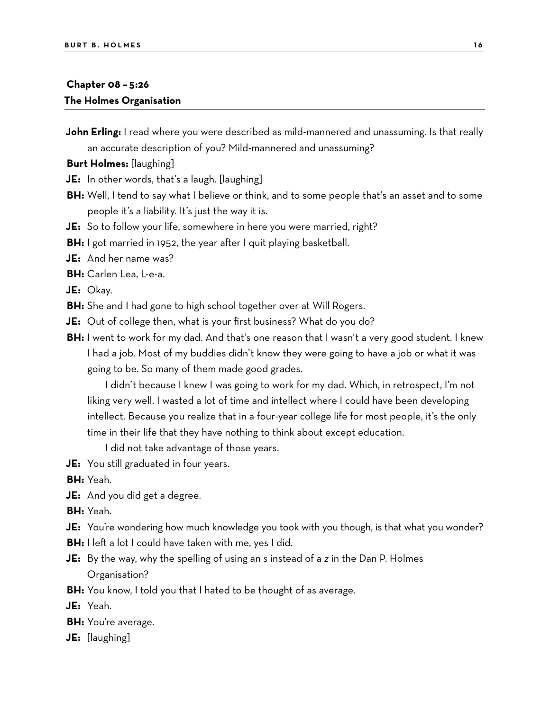## **Chapter 08 – 5:26 The Holmes Organisation**

**John Erling:** I read where you were described as mild-mannered and unassuming. Is that really an accurate description of you? Mild-mannered and unassuming?

**Burt Holmes:** [laughing]

- **JE:** In other words, that's a laugh. [laughing]
- **BH:** Well, I tend to say what I believe or think, and to some people that's an asset and to some people it's a liability. It's just the way it is.
- **JE:** So to follow your life, somewhere in here you were married, right?
- **BH:** I got married in 1952, the year after I quit playing basketball.
- **JE:** And her name was?
- **BH:** Carlen Lea, L-e-a.

**JE:** Okay.

- **BH:** She and I had gone to high school together over at Will Rogers.
- **JE:** Out of college then, what is your first business? What do you do?
- **BH:** I went to work for my dad. And that's one reason that I wasn't a very good student. I knew I had a job. Most of my buddies didn't know they were going to have a job or what it was going to be. So many of them made good grades.

I didn't because I knew I was going to work for my dad. Which, in retrospect, I'm not liking very well. I wasted a lot of time and intellect where I could have been developing intellect. Because you realize that in a four-year college life for most people, it's the only time in their life that they have nothing to think about except education.

I did not take advantage of those years.

**JE:** You still graduated in four years.

**BH:** Yeah.

**JE:** And you did get a degree.

**BH:** Yeah.

- **JE:** You're wondering how much knowledge you took with you though, is that what you wonder?
- **BH:** I left a lot I could have taken with me, yes I did.
- **JE:** By the way, why the spelling of using an *s* instead of a *z* in the Dan P. Holmes Organisation?
- **BH:** You know, I told you that I hated to be thought of as average.

**JE:** Yeah.

- **BH:** You're average.
- **JE:** [laughing]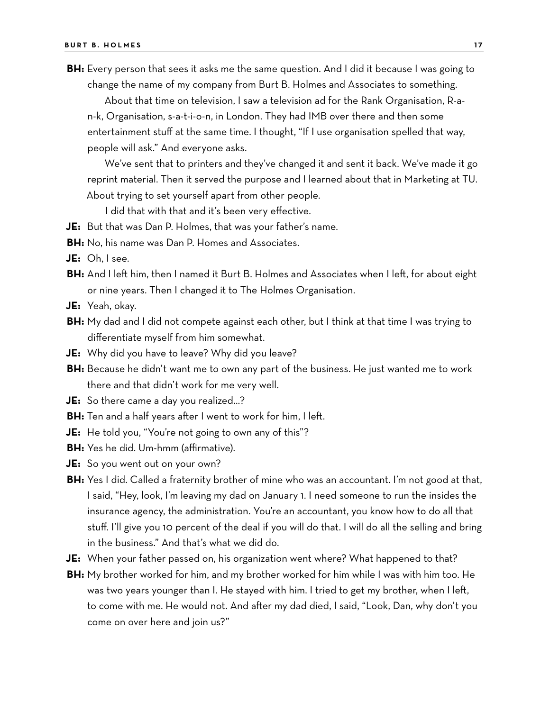**BH:** Every person that sees it asks me the same question. And I did it because I was going to change the name of my company from Burt B. Holmes and Associates to something.

About that time on television, I saw a television ad for the Rank Organisation, R-an-k, Organisation, s-a-t-i-o-n, in London. They had IMB over there and then some entertainment stuff at the same time. I thought, "If I use organisation spelled that way, people will ask." And everyone asks.

We've sent that to printers and they've changed it and sent it back. We've made it go reprint material. Then it served the purpose and I learned about that in Marketing at TU. About trying to set yourself apart from other people.

I did that with that and it's been very effective.

- **JE:** But that was Dan P. Holmes, that was your father's name.
- **BH:** No, his name was Dan P. Homes and Associates.
- **JE:** Oh, I see.
- **BH:** And I left him, then I named it Burt B. Holmes and Associates when I left, for about eight or nine years. Then I changed it to The Holmes Organisation.
- **JE:** Yeah, okay.
- **BH:** My dad and I did not compete against each other, but I think at that time I was trying to differentiate myself from him somewhat.
- **JE:** Why did you have to leave? Why did you leave?
- **BH:** Because he didn't want me to own any part of the business. He just wanted me to work there and that didn't work for me very well.
- **JE:** So there came a day you realized…?
- **BH:** Ten and a half years after I went to work for him, I left.
- **JE:** He told you, "You're not going to own any of this"?
- **BH:** Yes he did. Um-hmm (affirmative).
- **JE:** So you went out on your own?
- **BH:** Yes I did. Called a fraternity brother of mine who was an accountant. I'm not good at that, I said, "Hey, look, I'm leaving my dad on January 1. I need someone to run the insides the insurance agency, the administration. You're an accountant, you know how to do all that stuff. I'll give you 10 percent of the deal if you will do that. I will do all the selling and bring in the business." And that's what we did do.
- **JE:** When your father passed on, his organization went where? What happened to that?
- **BH:** My brother worked for him, and my brother worked for him while I was with him too. He was two years younger than I. He stayed with him. I tried to get my brother, when I left, to come with me. He would not. And after my dad died, I said, "Look, Dan, why don't you come on over here and join us?"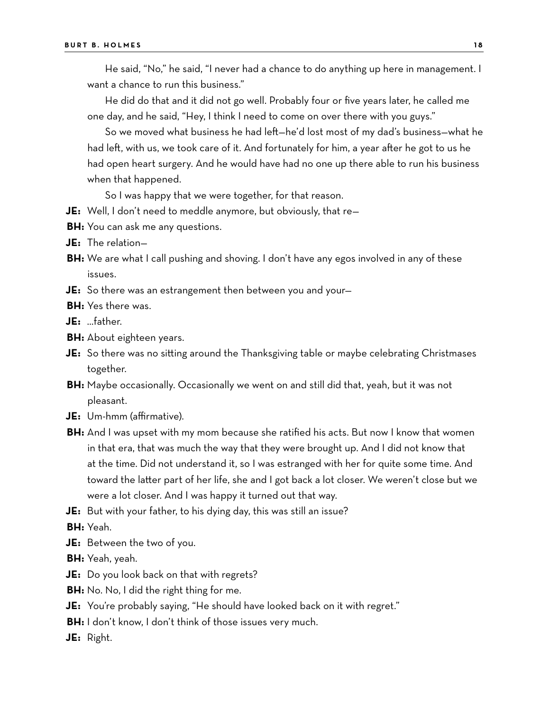He said, "No," he said, "I never had a chance to do anything up here in management. I want a chance to run this business."

He did do that and it did not go well. Probably four or five years later, he called me one day, and he said, "Hey, I think I need to come on over there with you guys."

So we moved what business he had left—he'd lost most of my dad's business—what he had left, with us, we took care of it. And fortunately for him, a year after he got to us he had open heart surgery. And he would have had no one up there able to run his business when that happened.

So I was happy that we were together, for that reason.

- **JE:** Well, I don't need to meddle anymore, but obviously, that re—
- **BH:** You can ask me any questions.
- **JE:** The relation—
- **BH:** We are what I call pushing and shoving. I don't have any egos involved in any of these issues.
- **JE:** So there was an estrangement then between you and your—
- **BH:** Yes there was.
- **JE:** …father.
- **BH:** About eighteen years.
- **JE:** So there was no sitting around the Thanksgiving table or maybe celebrating Christmases together.
- **BH:** Maybe occasionally. Occasionally we went on and still did that, yeah, but it was not pleasant.
- **JE:** Um-hmm (affirmative).
- **BH:** And I was upset with my mom because she ratified his acts. But now I know that women in that era, that was much the way that they were brought up. And I did not know that at the time. Did not understand it, so I was estranged with her for quite some time. And toward the latter part of her life, she and I got back a lot closer. We weren't close but we were a lot closer. And I was happy it turned out that way.
- **JE:** But with your father, to his dying day, this was still an issue?

**BH:** Yeah.

**JE:** Between the two of you.

**BH:** Yeah, yeah.

- **JE:** Do you look back on that with regrets?
- **BH:** No. No, I did the right thing for me.
- **JE:** You're probably saying, "He should have looked back on it with regret."

**BH:** I don't know, I don't think of those issues very much.

**JE:** Right.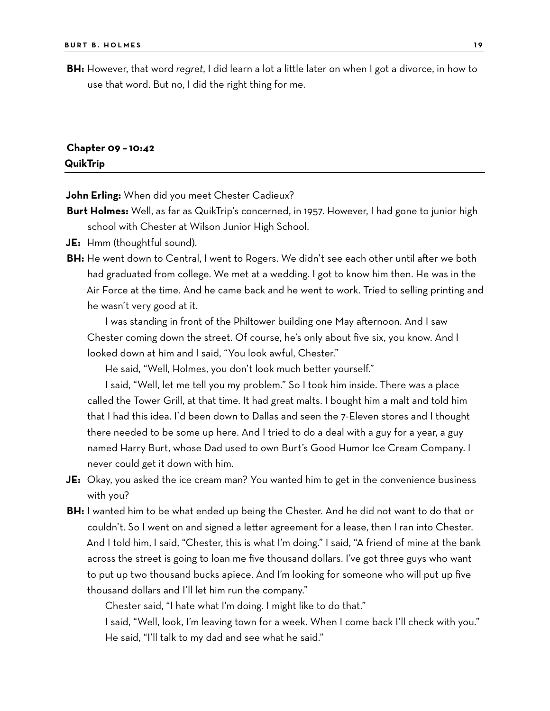**BH:** However, that word *regret*, I did learn a lot a little later on when I got a divorce, in how to use that word. But no, I did the right thing for me.

### **Chapter 09 – 10:42 QuikTrip**

**John Erling:** When did you meet Chester Cadieux?

- **Burt Holmes:** Well, as far as QuikTrip's concerned, in 1957. However, I had gone to junior high school with Chester at Wilson Junior High School.
- **JE:** Hmm (thoughtful sound).
- **BH:** He went down to Central, I went to Rogers. We didn't see each other until after we both had graduated from college. We met at a wedding. I got to know him then. He was in the Air Force at the time. And he came back and he went to work. Tried to selling printing and he wasn't very good at it.

I was standing in front of the Philtower building one May afternoon. And I saw Chester coming down the street. Of course, he's only about five six, you know. And I looked down at him and I said, "You look awful, Chester."

He said, "Well, Holmes, you don't look much better yourself."

I said, "Well, let me tell you my problem." So I took him inside. There was a place called the Tower Grill, at that time. It had great malts. I bought him a malt and told him that I had this idea. I'd been down to Dallas and seen the 7-Eleven stores and I thought there needed to be some up here. And I tried to do a deal with a guy for a year, a guy named Harry Burt, whose Dad used to own Burt's Good Humor Ice Cream Company. I never could get it down with him.

- **JE:** Okay, you asked the ice cream man? You wanted him to get in the convenience business with you?
- **BH:** I wanted him to be what ended up being the Chester. And he did not want to do that or couldn't. So I went on and signed a letter agreement for a lease, then I ran into Chester. And I told him, I said, "Chester, this is what I'm doing." I said, "A friend of mine at the bank across the street is going to loan me five thousand dollars. I've got three guys who want to put up two thousand bucks apiece. And I'm looking for someone who will put up five thousand dollars and I'll let him run the company."

Chester said, "I hate what I'm doing. I might like to do that."

I said, "Well, look, I'm leaving town for a week. When I come back I'll check with you." He said, "I'll talk to my dad and see what he said."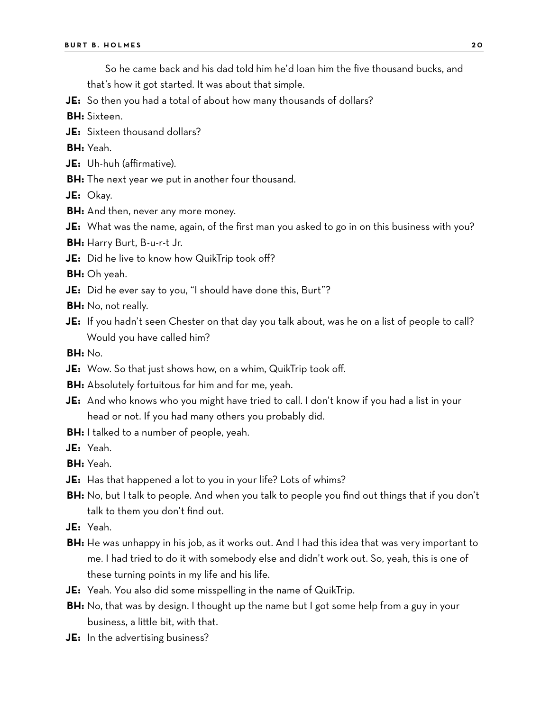So he came back and his dad told him he'd loan him the five thousand bucks, and

that's how it got started. It was about that simple.

- **JE:** So then you had a total of about how many thousands of dollars?
- **BH:** Sixteen.
- **JE:** Sixteen thousand dollars?

**BH:** Yeah.

- **JE:** Uh-huh (affirmative).
- **BH:** The next year we put in another four thousand.

**JE:** Okay.

- **BH:** And then, never any more money.
- **JE:** What was the name, again, of the first man you asked to go in on this business with you?

**BH:** Harry Burt, B-u-r-t Jr.

**JE:** Did he live to know how QuikTrip took off?

**BH:** Oh yeah.

- **JE:** Did he ever say to you, "I should have done this, Burt"?
- **BH:** No, not really.
- **JE:** If you hadn't seen Chester on that day you talk about, was he on a list of people to call? Would you have called him?

**BH:** No.

- **JE:** Wow. So that just shows how, on a whim, QuikTrip took off.
- **BH:** Absolutely fortuitous for him and for me, yeah.
- **JE:** And who knows who you might have tried to call. I don't know if you had a list in your head or not. If you had many others you probably did.
- **BH:** I talked to a number of people, yeah.
- **JE:** Yeah.

**BH:** Yeah.

- **JE:** Has that happened a lot to you in your life? Lots of whims?
- **BH:** No, but I talk to people. And when you talk to people you find out things that if you don't talk to them you don't find out.
- **JE:** Yeah.
- **BH:** He was unhappy in his job, as it works out. And I had this idea that was very important to me. I had tried to do it with somebody else and didn't work out. So, yeah, this is one of these turning points in my life and his life.
- **JE:** Yeah. You also did some misspelling in the name of QuikTrip.
- **BH:** No, that was by design. I thought up the name but I got some help from a guy in your business, a little bit, with that.
- **JE:** In the advertising business?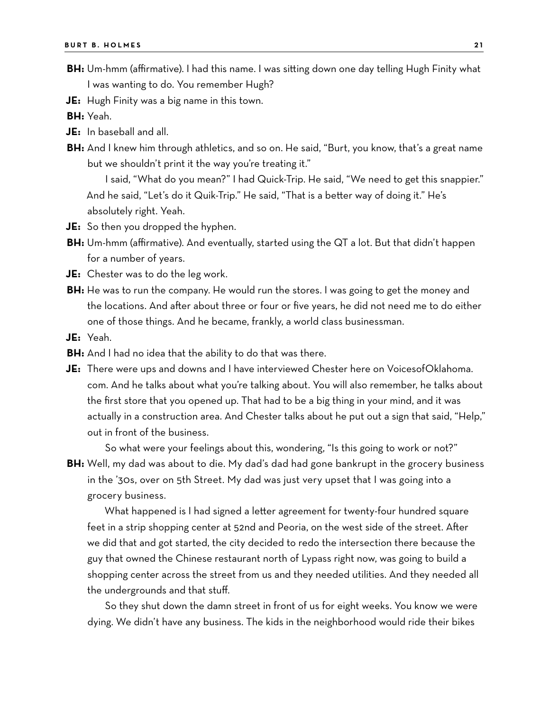- **BH:** Um-hmm (affirmative). I had this name. I was sitting down one day telling Hugh Finity what I was wanting to do. You remember Hugh?
- **JE:** Hugh Finity was a big name in this town.

**BH:** Yeah.

- **JE:** In baseball and all.
- **BH:** And I knew him through athletics, and so on. He said, "Burt, you know, that's a great name but we shouldn't print it the way you're treating it."

I said, "What do you mean?" I had Quick-Trip. He said, "We need to get this snappier." And he said, "Let's do it Quik-Trip." He said, "That is a better way of doing it." He's absolutely right. Yeah.

- **JE:** So then you dropped the hyphen.
- **BH:** Um-hmm (affirmative). And eventually, started using the QT a lot. But that didn't happen for a number of years.

**JE:** Chester was to do the leg work.

- **BH:** He was to run the company. He would run the stores. I was going to get the money and the locations. And after about three or four or five years, he did not need me to do either one of those things. And he became, frankly, a world class businessman.
- **JE:** Yeah.
- **BH:** And I had no idea that the ability to do that was there.
- **JE:** There were ups and downs and I have interviewed Chester here on VoicesofOklahoma. com. And he talks about what you're talking about. You will also remember, he talks about the first store that you opened up. That had to be a big thing in your mind, and it was actually in a construction area. And Chester talks about he put out a sign that said, "Help," out in front of the business.

So what were your feelings about this, wondering, "Is this going to work or not?" **BH:** Well, my dad was about to die. My dad's dad had gone bankrupt in the grocery business in the '30s, over on 5th Street. My dad was just very upset that I was going into a grocery business.

What happened is I had signed a letter agreement for twenty-four hundred square feet in a strip shopping center at 52nd and Peoria, on the west side of the street. After we did that and got started, the city decided to redo the intersection there because the guy that owned the Chinese restaurant north of Lypass right now, was going to build a shopping center across the street from us and they needed utilities. And they needed all the undergrounds and that stuff.

So they shut down the damn street in front of us for eight weeks. You know we were dying. We didn't have any business. The kids in the neighborhood would ride their bikes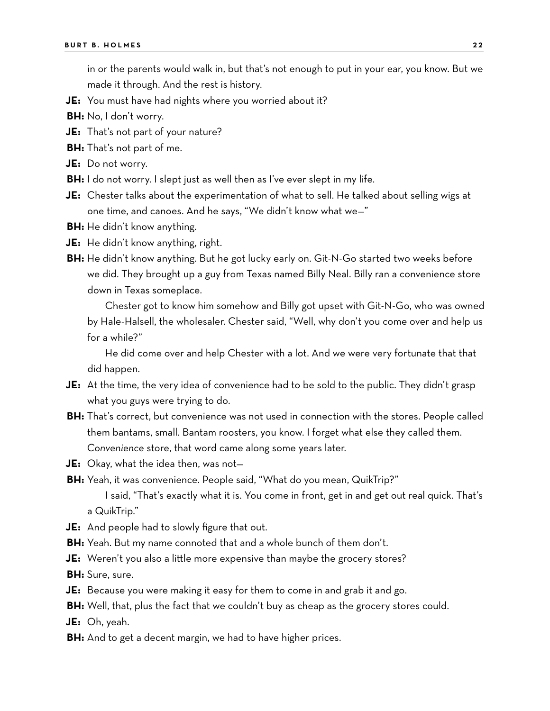in or the parents would walk in, but that's not enough to put in your ear, you know. But we made it through. And the rest is history.

- **JE:** You must have had nights where you worried about it?
- **BH:** No, I don't worry.
- **JE:** That's not part of your nature?
- **BH:** That's not part of me.
- **JE:** Do not worry.
- **BH:** I do not worry. I slept just as well then as I've ever slept in my life.
- **JE:** Chester talks about the experimentation of what to sell. He talked about selling wigs at one time, and canoes. And he says, "We didn't know what we—"
- **BH:** He didn't know anything.
- **JE:** He didn't know anything, right.
- **BH:** He didn't know anything. But he got lucky early on. Git-N-Go started two weeks before we did. They brought up a guy from Texas named Billy Neal. Billy ran a convenience store down in Texas someplace.

Chester got to know him somehow and Billy got upset with Git-N-Go, who was owned by Hale-Halsell, the wholesaler. Chester said, "Well, why don't you come over and help us for a while?"

He did come over and help Chester with a lot. And we were very fortunate that that did happen.

- **JE:** At the time, the very idea of convenience had to be sold to the public. They didn't grasp what you guys were trying to do.
- **BH:** That's correct, but convenience was not used in connection with the stores. People called them bantams, small. Bantam roosters, you know. I forget what else they called them. *Convenience* store, that word came along some years later.
- **JE:** Okay, what the idea then, was not—
- **BH:** Yeah, it was convenience. People said, "What do you mean, QuikTrip?"

I said, "That's exactly what it is. You come in front, get in and get out real quick. That's a QuikTrip."

- **JE:** And people had to slowly figure that out.
- **BH:** Yeah. But my name connoted that and a whole bunch of them don't.
- **JE:** Weren't you also a little more expensive than maybe the grocery stores?

**BH:** Sure, sure.

- **JE:** Because you were making it easy for them to come in and grab it and go.
- **BH:** Well, that, plus the fact that we couldn't buy as cheap as the grocery stores could.

**JE:** Oh, yeah.

**BH:** And to get a decent margin, we had to have higher prices.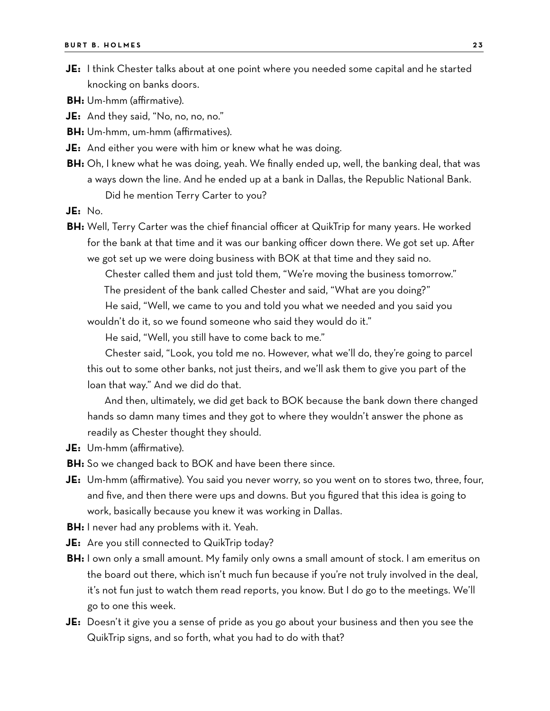- **JE:** I think Chester talks about at one point where you needed some capital and he started knocking on banks doors.
- **BH:** Um-hmm (affirmative).
- **JE:** And they said, "No, no, no, no."
- **BH:** Um-hmm, um-hmm (affirmatives).
- **JE:** And either you were with him or knew what he was doing.
- **BH:** Oh, I knew what he was doing, yeah. We finally ended up, well, the banking deal, that was a ways down the line. And he ended up at a bank in Dallas, the Republic National Bank. Did he mention Terry Carter to you?
- **JE:** No.
- **BH:** Well, Terry Carter was the chief financial officer at QuikTrip for many years. He worked for the bank at that time and it was our banking officer down there. We got set up. After we got set up we were doing business with BOK at that time and they said no.
	- Chester called them and just told them, "We're moving the business tomorrow."
	- The president of the bank called Chester and said, "What are you doing?"

He said, "Well, we came to you and told you what we needed and you said you wouldn't do it, so we found someone who said they would do it."

He said, "Well, you still have to come back to me."

Chester said, "Look, you told me no. However, what we'll do, they're going to parcel this out to some other banks, not just theirs, and we'll ask them to give you part of the loan that way." And we did do that.

And then, ultimately, we did get back to BOK because the bank down there changed hands so damn many times and they got to where they wouldn't answer the phone as readily as Chester thought they should.

**JE:** Um-hmm (affirmative).

**BH:** So we changed back to BOK and have been there since.

- **JE:** Um-hmm (affirmative). You said you never worry, so you went on to stores two, three, four, and five, and then there were ups and downs. But you figured that this idea is going to work, basically because you knew it was working in Dallas.
- **BH:** I never had any problems with it. Yeah.
- **JE:** Are you still connected to QuikTrip today?
- **BH:** I own only a small amount. My family only owns a small amount of stock. I am emeritus on the board out there, which isn't much fun because if you're not truly involved in the deal, it's not fun just to watch them read reports, you know. But I do go to the meetings. We'll go to one this week.
- **JE:** Doesn't it give you a sense of pride as you go about your business and then you see the QuikTrip signs, and so forth, what you had to do with that?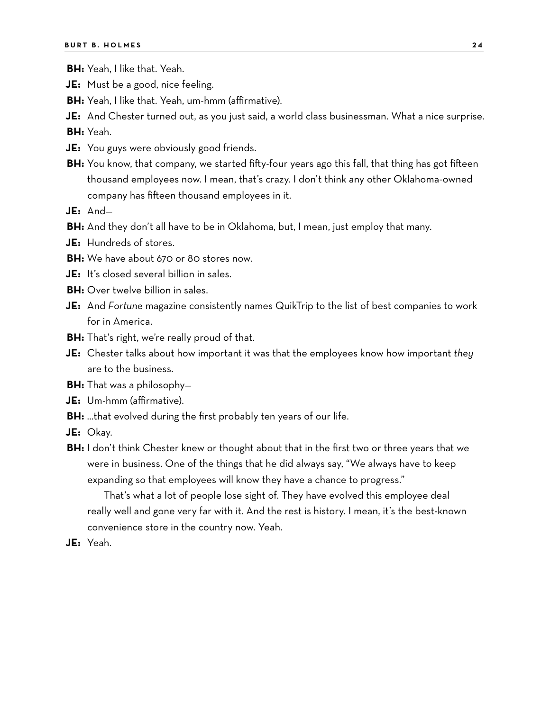- **BH:** Yeah, I like that. Yeah.
- **JE:** Must be a good, nice feeling.
- **BH:** Yeah, I like that. Yeah, um-hmm (affirmative).
- **JE:** And Chester turned out, as you just said, a world class businessman. What a nice surprise.

**BH:** Yeah.

- **JE:** You guys were obviously good friends.
- **BH:** You know, that company, we started fifty-four years ago this fall, that thing has got fifteen thousand employees now. I mean, that's crazy. I don't think any other Oklahoma-owned company has fifteen thousand employees in it.
- **JE:** And—
- **BH:** And they don't all have to be in Oklahoma, but, I mean, just employ that many.
- **JE:** Hundreds of stores.
- **BH:** We have about 670 or 80 stores now.
- **JE:** It's closed several billion in sales.
- **BH:** Over twelve billion in sales.
- **JE:** And *Fortune* magazine consistently names QuikTrip to the list of best companies to work for in America.
- **BH:** That's right, we're really proud of that.
- **JE:** Chester talks about how important it was that the employees know how important *they* are to the business.
- **BH:** That was a philosophy—
- **JE:** Um-hmm (affirmative).
- **BH:** …that evolved during the first probably ten years of our life.
- **JE:** Okay.
- **BH:** I don't think Chester knew or thought about that in the first two or three years that we were in business. One of the things that he did always say, "We always have to keep expanding so that employees will know they have a chance to progress."

That's what a lot of people lose sight of. They have evolved this employee deal really well and gone very far with it. And the rest is history. I mean, it's the best-known convenience store in the country now. Yeah.

**JE:** Yeah.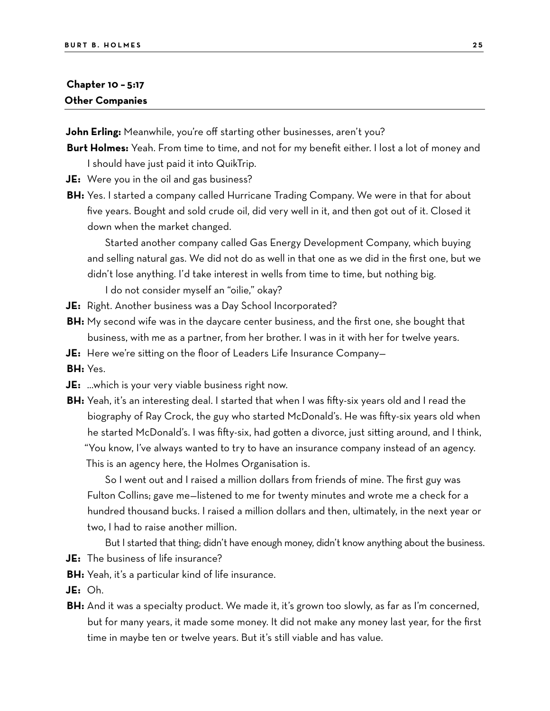## **Chapter 10 – 5:17 Other Companies**

**John Erling:** Meanwhile, you're off starting other businesses, aren't you?

- **Burt Holmes:** Yeah. From time to time, and not for my benefit either. I lost a lot of money and I should have just paid it into QuikTrip.
- **JE:** Were you in the oil and gas business?
- **BH:** Yes. I started a company called Hurricane Trading Company. We were in that for about five years. Bought and sold crude oil, did very well in it, and then got out of it. Closed it down when the market changed.

Started another company called Gas Energy Development Company, which buying and selling natural gas. We did not do as well in that one as we did in the first one, but we didn't lose anything. I'd take interest in wells from time to time, but nothing big.

I do not consider myself an "oilie," okay?

- **JE:** Right. Another business was a Day School Incorporated?
- **BH:** My second wife was in the daycare center business, and the first one, she bought that business, with me as a partner, from her brother. I was in it with her for twelve years.
- **JE:** Here we're sitting on the floor of Leaders Life Insurance Company—
- **BH:** Yes.
- **JE:** …which is your very viable business right now.
- **BH:** Yeah, it's an interesting deal. I started that when I was fifty-six years old and I read the biography of Ray Crock, the guy who started McDonald's. He was fifty-six years old when he started McDonald's. I was fifty-six, had gotten a divorce, just sitting around, and I think, "You know, I've always wanted to try to have an insurance company instead of an agency. This is an agency here, the Holmes Organisation is.

So I went out and I raised a million dollars from friends of mine. The first guy was Fulton Collins; gave me—listened to me for twenty minutes and wrote me a check for a hundred thousand bucks. I raised a million dollars and then, ultimately, in the next year or two, I had to raise another million.

But I started that thing; didn't have enough money, didn't know anything about the business.

- **JE:** The business of life insurance?
- **BH:** Yeah, it's a particular kind of life insurance.
- **JE:** Oh.
- **BH:** And it was a specialty product. We made it, it's grown too slowly, as far as I'm concerned, but for many years, it made some money. It did not make any money last year, for the first time in maybe ten or twelve years. But it's still viable and has value.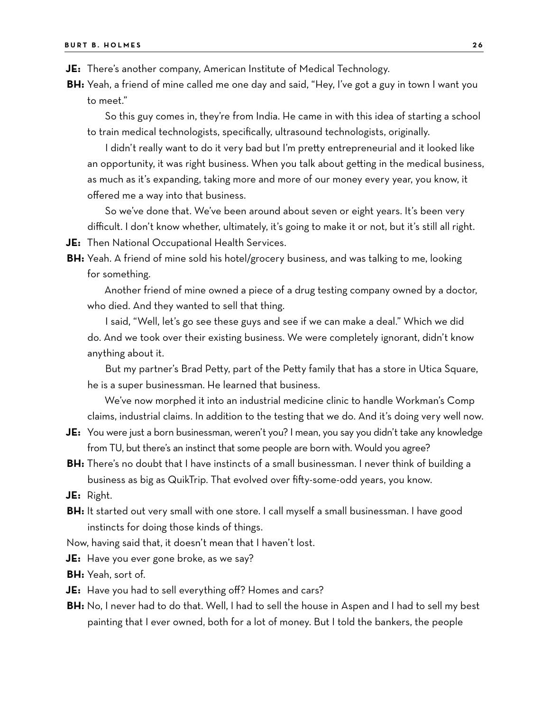**JE:** There's another company, American Institute of Medical Technology.

**BH:** Yeah, a friend of mine called me one day and said, "Hey, I've got a guy in town I want you to meet."

So this guy comes in, they're from India. He came in with this idea of starting a school to train medical technologists, specifically, ultrasound technologists, originally.

I didn't really want to do it very bad but I'm pretty entrepreneurial and it looked like an opportunity, it was right business. When you talk about getting in the medical business, as much as it's expanding, taking more and more of our money every year, you know, it offered me a way into that business.

So we've done that. We've been around about seven or eight years. It's been very difficult. I don't know whether, ultimately, it's going to make it or not, but it's still all right.

**JE:** Then National Occupational Health Services.

**BH:** Yeah. A friend of mine sold his hotel/grocery business, and was talking to me, looking for something.

Another friend of mine owned a piece of a drug testing company owned by a doctor, who died. And they wanted to sell that thing.

I said, "Well, let's go see these guys and see if we can make a deal." Which we did do. And we took over their existing business. We were completely ignorant, didn't know anything about it.

But my partner's Brad Petty, part of the Petty family that has a store in Utica Square, he is a super businessman. He learned that business.

We've now morphed it into an industrial medicine clinic to handle Workman's Comp claims, industrial claims. In addition to the testing that we do. And it's doing very well now.

- **JE:** You were just a born businessman, weren't you? I mean, you say you didn't take any knowledge from TU, but there's an instinct that some people are born with. Would you agree?
- **BH:** There's no doubt that I have instincts of a small businessman. I never think of building a business as big as QuikTrip. That evolved over fifty-some-odd years, you know.

**JE:** Right.

**BH:** It started out very small with one store. I call myself a small businessman. I have good instincts for doing those kinds of things.

Now, having said that, it doesn't mean that I haven't lost.

**JE:** Have you ever gone broke, as we say?

**BH:** Yeah, sort of.

**JE:** Have you had to sell everything off? Homes and cars?

**BH:** No, I never had to do that. Well, I had to sell the house in Aspen and I had to sell my best painting that I ever owned, both for a lot of money. But I told the bankers, the people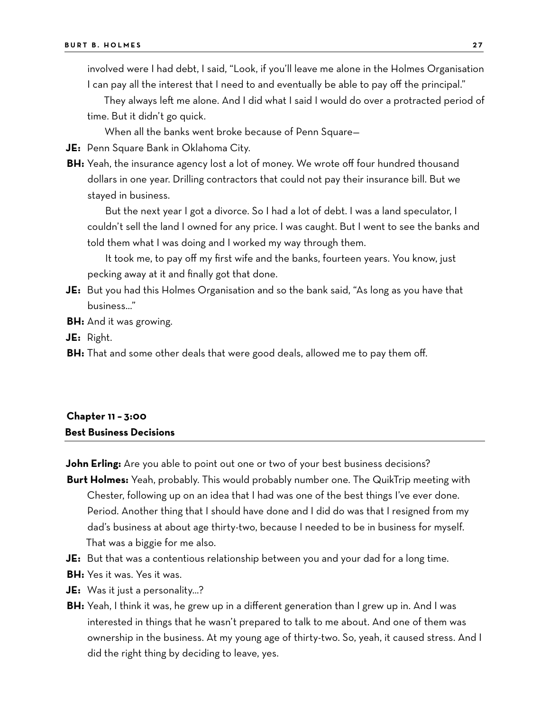involved were I had debt, I said, "Look, if you'll leave me alone in the Holmes Organisation I can pay all the interest that I need to and eventually be able to pay off the principal."

They always left me alone. And I did what I said I would do over a protracted period of time. But it didn't go quick.

When all the banks went broke because of Penn Square—

- **JE:** Penn Square Bank in Oklahoma City.
- **BH:** Yeah, the insurance agency lost a lot of money. We wrote off four hundred thousand dollars in one year. Drilling contractors that could not pay their insurance bill. But we stayed in business.

But the next year I got a divorce. So I had a lot of debt. I was a land speculator, I couldn't sell the land I owned for any price. I was caught. But I went to see the banks and told them what I was doing and I worked my way through them.

It took me, to pay off my first wife and the banks, fourteen years. You know, just pecking away at it and finally got that done.

- **JE:** But you had this Holmes Organisation and so the bank said, "As long as you have that business…"
- **BH:** And it was growing.

**JE:** Right.

**BH:** That and some other deals that were good deals, allowed me to pay them off.

## **Chapter 11 – 3:00 Best Business Decisions**

**John Erling:** Are you able to point out one or two of your best business decisions?

- **Burt Holmes:** Yeah, probably. This would probably number one. The QuikTrip meeting with Chester, following up on an idea that I had was one of the best things I've ever done. Period. Another thing that I should have done and I did do was that I resigned from my dad's business at about age thirty-two, because I needed to be in business for myself. That was a biggie for me also.
- **JE:** But that was a contentious relationship between you and your dad for a long time.
- **BH:** Yes it was. Yes it was.
- **JE:** Was it just a personality…?
- **BH:** Yeah, I think it was, he grew up in a different generation than I grew up in. And I was interested in things that he wasn't prepared to talk to me about. And one of them was ownership in the business. At my young age of thirty-two. So, yeah, it caused stress. And I did the right thing by deciding to leave, yes.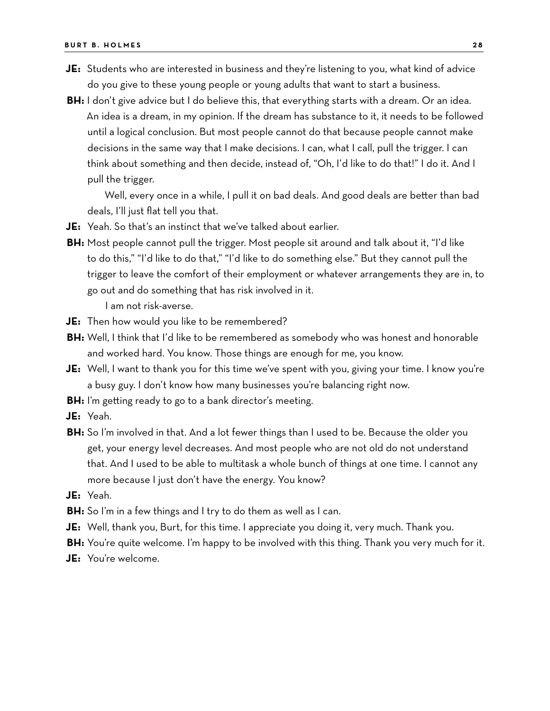- **JE:** Students who are interested in business and they're listening to you, what kind of advice do you give to these young people or young adults that want to start a business.
- **BH:** I don't give advice but I do believe this, that everything starts with a dream. Or an idea. An idea is a dream, in my opinion. If the dream has substance to it, it needs to be followed until a logical conclusion. But most people cannot do that because people cannot make decisions in the same way that I make decisions. I can, what I call, pull the trigger. I can think about something and then decide, instead of, "Oh, I'd like to do that!" I do it. And I pull the trigger.

Well, every once in a while, I pull it on bad deals. And good deals are better than bad deals, I'll just flat tell you that.

- **JE:** Yeah. So that's an instinct that we've talked about earlier.
- **BH:** Most people cannot pull the trigger. Most people sit around and talk about it, "I'd like to do this," "I'd like to do that," "I'd like to do something else." But they cannot pull the trigger to leave the comfort of their employment or whatever arrangements they are in, to go out and do something that has risk involved in it.

I am not risk-averse.

- **JE:** Then how would you like to be remembered?
- **BH:** Well, I think that I'd like to be remembered as somebody who was honest and honorable and worked hard. You know. Those things are enough for me, you know.
- **JE:** Well, I want to thank you for this time we've spent with you, giving your time. I know you're a busy guy. I don't know how many businesses you're balancing right now.
- **BH:** I'm getting ready to go to a bank director's meeting.
- **JE:** Yeah.
- **BH:** So I'm involved in that. And a lot fewer things than I used to be. Because the older you get, your energy level decreases. And most people who are not old do not understand that. And I used to be able to multitask a whole bunch of things at one time. I cannot any more because I just don't have the energy. You know?
- **JE:** Yeah.
- **BH:** So I'm in a few things and I try to do them as well as I can.
- **JE:** Well, thank you, Burt, for this time. I appreciate you doing it, very much. Thank you.
- **BH:** You're quite welcome. I'm happy to be involved with this thing. Thank you very much for it.
- **JE:** You're welcome.